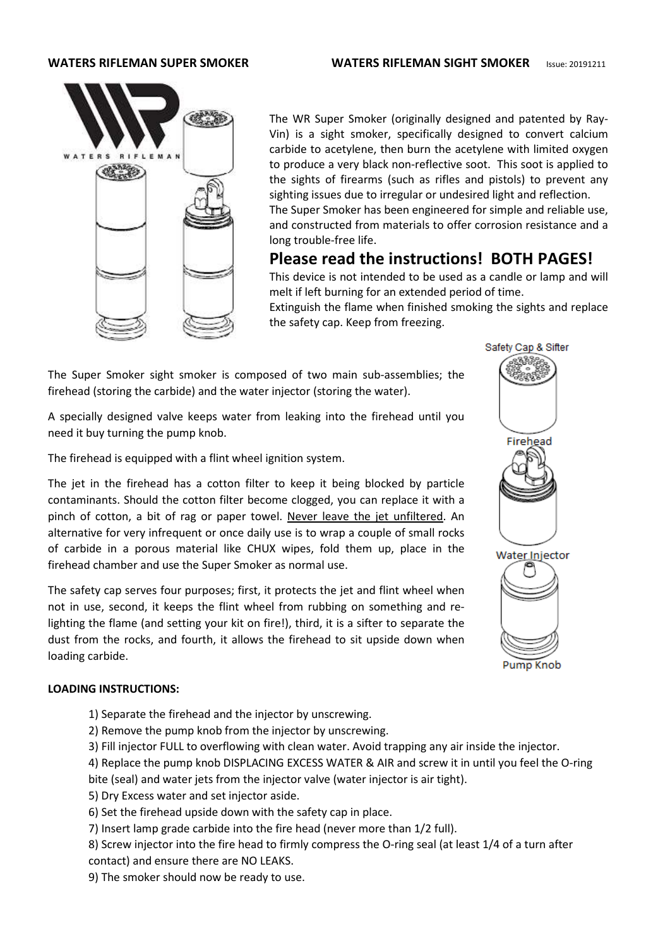

The WR Super Smoker (originally designed and patented by Ray-Vin) is a sight smoker, specifically designed to convert calcium carbide to acetylene, then burn the acetylene with limited oxygen to produce a very black non-reflective soot. This soot is applied to the sights of firearms (such as rifles and pistols) to prevent any sighting issues due to irregular or undesired light and reflection. The Super Smoker has been engineered for simple and reliable use, and constructed from materials to offer corrosion resistance and a long trouble-free life.

# **Please read the instructions! BOTH PAGES!**

This device is not intended to be used as a candle or lamp and will melt if left burning for an extended period of time.

Extinguish the flame when finished smoking the sights and replace the safety cap. Keep from freezing.

The Super Smoker sight smoker is composed of two main sub-assemblies; the firehead (storing the carbide) and the water injector (storing the water).

A specially designed valve keeps water from leaking into the firehead until you need it buy turning the pump knob.

The firehead is equipped with a flint wheel ignition system.

The jet in the firehead has a cotton filter to keep it being blocked by particle contaminants. Should the cotton filter become clogged, you can replace it with a pinch of cotton, a bit of rag or paper towel. Never leave the jet unfiltered. An alternative for very infrequent or once daily use is to wrap a couple of small rocks of carbide in a porous material like CHUX wipes, fold them up, place in the firehead chamber and use the Super Smoker as normal use.

The safety cap serves four purposes; first, it protects the jet and flint wheel when not in use, second, it keeps the flint wheel from rubbing on something and relighting the flame (and setting your kit on fire!), third, it is a sifter to separate the dust from the rocks, and fourth, it allows the firehead to sit upside down when loading carbide.

#### **LOADING INSTRUCTIONS:**

- 1) Separate the firehead and the injector by unscrewing.
- 2) Remove the pump knob from the injector by unscrewing.
- 3) Fill injector FULL to overflowing with clean water. Avoid trapping any air inside the injector.

4) Replace the pump knob DISPLACING EXCESS WATER & AIR and screw it in until you feel the O-ring bite (seal) and water jets from the injector valve (water injector is air tight).

- 5) Dry Excess water and set injector aside.
- 6) Set the firehead upside down with the safety cap in place.
- 7) Insert lamp grade carbide into the fire head (never more than 1/2 full).

8) Screw injector into the fire head to firmly compress the O-ring seal (at least 1/4 of a turn after contact) and ensure there are NO LEAKS.

9) The smoker should now be ready to use.